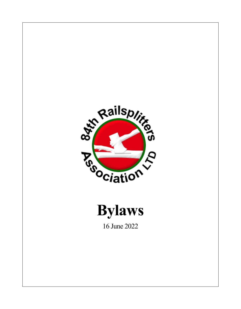



16 June 2022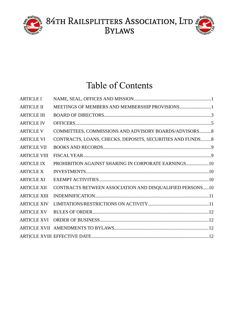



# Table of Contents

| <b>ARTICLE I</b>    |                                                            |  |
|---------------------|------------------------------------------------------------|--|
| <b>ARTICLE II</b>   | MEETINGS OF MEMBERS AND MEMBERSHIP PROVISIONS1             |  |
| <b>ARTICLE III</b>  |                                                            |  |
| <b>ARTICLE IV</b>   |                                                            |  |
| <b>ARTICLE V</b>    | COMMITTEES, COMMISSIONS AND ADVISORY BOARDS/ADVISORS8      |  |
| <b>ARTICLE VI</b>   | CONTRACTS, LOANS, CHECKS, DEPOSITS, SECURITIES AND FUNDS 8 |  |
| <b>ARTICLE VII</b>  |                                                            |  |
| <b>ARTICLE VIII</b> |                                                            |  |
| <b>ARTICLE IX</b>   | PROHIBITION AGAINST SHARING IN CORPORATE EARNINGS10        |  |
| <b>ARTICLE X</b>    |                                                            |  |
| <b>ARTICLE XI</b>   |                                                            |  |
| <b>ARTICLE XII</b>  | CONTRACTS BETWEEN ASSOCIATION AND DISQUALIFIED PERSONS10   |  |
| <b>ARTICLE XIII</b> |                                                            |  |
| <b>ARTICLE XIV</b>  |                                                            |  |
| <b>ARTICLE XV</b>   |                                                            |  |
| <b>ARTICLE XVI</b>  |                                                            |  |
|                     |                                                            |  |
|                     |                                                            |  |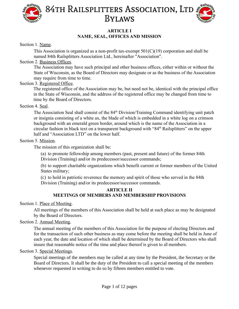



#### <span id="page-2-0"></span>**ARTICLE I NAME, SEAL, OFFICES AND MISSION**

Section 1. Name.

This Association is organized as a non-profit tax-exempt  $501(C)(19)$  corporation and shall be named 84th Railsplitters Association Ltd., hereinafter "Association".

#### Section 2. Business Offices.

The Association may have such principal and other business offices, either within or without the State of Wisconsin, as the Board of Directors may designate or as the business of the Association may require from time to time.

#### Section 3. Registered Office.

The registered office of the Association may be, but need not be, identical with the principal office in the State of Wisconsin, and the address of the registered office may be changed from time to time by the Board of Directors.

#### Section 4. Seal.

The Association Seal shall consist of the 84<sup>th</sup> Division/Training Command identifying unit patch or insignia consisting of a white ax, the blade of which is embedded in a white log on a crimson background with an emerald green border, around which is the name of the Association in a circular fashion in black text on a transparent background with "84<sup>th</sup> Railsplitters" on the upper half and "Association LTD" on the lower half.

#### Section 5. Mission.

The mission of this organization shall be:

(a) to promote fellowship among members (past, present and future) of the former 84th Division (Training) and/or its predecessor/successor commands;

(b) to support charitable organizations which benefit current or former members of the United States military;

(c) to hold in patriotic reverence the memory and spirit of those who served in the 84th Division (Training) and/or its predecessor/successor commands.

#### <span id="page-2-1"></span>**ARTICLE II MEETINGS OF MEMBERS AND MEMBERSHIP PROVISIONS**

Section 1. Place of Meeting.

All meetings of the members of this Association shall be held at such place as may be designated by the Board of Directors.

Section 2. Annual Meeting.

The annual meeting of the members of this Association for the purpose of electing Directors and for the transaction of such other business as may come before the meeting shall be held in June of each year, the date and location of which shall be determined by the Board of Directors who shall insure that reasonable notice of the time and place thereof is given to all members.

Section 3. Special Meetings.

Special meetings of the members may be called at any time by the President, the Secretary or the Board of Directors. It shall be the duty of the President to call a special meeting of the members whenever requested in writing to do so by fifteen members entitled to vote.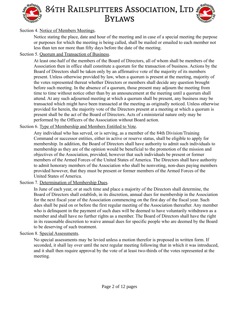



#### Section 4. Notice of Members Meetings.

Notice stating the place, date and hour of the meeting and in case of a special meeting the purpose or purposes for which the meeting is being called, shall be mailed or emailed to each member not less than ten nor more than fifty days before the date of the meeting.

#### Section 5. Quorum and Transaction of Business.

At least one-half of the members of the Board of Directors, all of whom shall be members of the Association then in office shall constitute a quorum for the transaction of business. Actions by the Board of Directors shall be taken only by an affirmative vote of the majority of its members present. Unless otherwise provided by law, when a quorum is present at the meeting, majority of the votes represented thereat whether Directors or members shall decide any question brought before such meeting. In the absence of a quorum, those present may adjourn the meeting from time to time without notice other than by an announcement at the meeting until a quorum shall attend. At any such adjourned meeting at which a quorum shall be present, any business may be transacted which might have been transacted at the meeting as originally noticed. Unless otherwise provided for herein, the majority vote of the Directors present at a meeting at which a quorum is present shall be the act of the Board of Directors. Acts of a ministerial nature only may be performed by the Officers of the Association without Board action.

#### Section 6. Type of Membership and Members Entitled to Vote.

Any individual who has served, or is serving, as a member of the 84th Division/Training Command or successor entities, either in active or reserve status, shall be eligible to apply for membership. In addition, the Board of Directors shall have authority to admit such individuals to membership as they are of the opinion would be beneficial to the promotion of the mission and objectives of the Association, provided, however that such individuals be present or former members of the Armed Forces of the United States of America. The Directors shall have authority to admit honorary members of the Association who shall be nonvoting, non-dues paying members provided however, that they must be present or former members of the Armed Forces of the United States of America.

#### Section 7. Determination of Membership Dues.

In June of each year, or at such time and place a majority of the Directors shall determine, the Board of Directors shall establish, in its discretion, annual dues for membership in the Association for the next fiscal year of the Association commencing on the first day of the fiscal year. Such dues shall be paid on or before the first regular meeting of the Association thereafter. Any member who is delinquent in the payment of such dues will be deemed to have voluntarily withdrawn as a member and shall have no further rights as a member. The Board of Directors shall have the right in its reasonable discretion to waive annual dues for specific people who are deemed by the Board to be deserving of such treatment.

#### Section 8. Special Assessments.

No special assessments may be levied unless a motion therefor is proposed in written form. If seconded, it shall lay over until the next regular meeting following that in which it was introduced, and it shall then require approval by the vote of at least two-thirds of the votes represented at the meeting.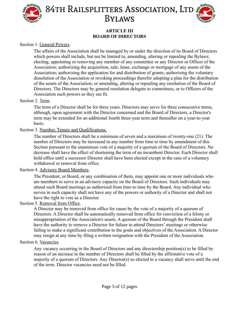



#### <span id="page-4-0"></span>**ARTICLE III BOARD OF DIRECTORS**

#### Section 1. General Powers.

The affairs of the Association shall be managed by or under the direction of its Board of Directors which powers shall include, but not be limited to, amending, altering or repealing the Bylaws; electing, appointing or removing any member of any committee or any Director or Officer of the Association; authorizing the acquisition, sale, lease, exchange or mortgage of any assets of the Association; authorizing the application for and distribution of grants; authorizing the voluntary dissolution of the Association or revoking proceedings therefor adopting a plan for the distribution of the assets of the Association; or amending, altering or repealing any resolution of the Board of Directors. The Directors may by general resolution delegate to committees, or to Officers of the Association such powers as they see fit.

#### Section 2. Term.

The term of a Director shall be for three years. Directors may serve for three consecutive terms, although, upon agreement with the Director concerned and the Board of Directors, a Director's term may be extended for an additional fourth three-year term and thereafter on a year-to-year basis.

#### Section 3. Number, Tenure and Qualifications.

The number of Directors shall be a minimum of seven and a maximum of twenty-one (21). The number of Directors may be increased to any number from time to time by amendment of this Section pursuant to the unanimous vote of a majority of a quorum of the Board of Directors. No decrease shall have the effect of shortening the term of an incumbent Director. Each Director shall hold office until a successor Director shall have been elected except in the case of a voluntary withdrawal or removal from office.

#### Section 4. Advisory Board Members.

The President, or Board, or any combination of them, may appoint one or more individuals who are members to serve in an advisory capacity on the Board of Directors. Such individuals may attend such Board meetings as authorized from time to time by the Board. Any individual who serves in such capacity shall not have any of the powers or authority of a Director and shall not have the right to vote as a Director.

#### Section 5. Removal from Office.

A Director may be removed from office for cause by the vote of a majority of a quorum of Directors. A Director shall be automatically removed from office for conviction of a felony or misappropriation of the Association's assets. A quorum of the Board through the President shall have the authority to remove a Director for failure to attend Directors' meetings or otherwise failing to make a significant contribution to the goals and objectives of the Association. A Director may resign at any time by filing a written resignation with the President of the Association.

#### Section 6. Vacancies.

Any vacancy occurring in the Board of Directors and any directorship position(s) to be filled by reason of an increase in the number of Directors shall be filled by the affirmative vote of a majority of a quorum of Directors. Any Director(s) so elected to a vacancy shall serve until the end of the term. Director vacancies need not be filled.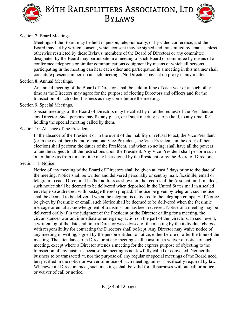



#### Section 7. Board Meetings.

Meetings of the Board may be held in person, telephonically, or by video conference, and the Board may act by written consent, which consent may be signed and transmitted by email. Unless otherwise restricted by these Bylaws, members of the Board of Directors or any committee designated by the Board may participate in a meeting of such Board or committee by means of a conference telephone or similar communications equipment by means of which all persons participating in the meeting can hear each other and participation in a meeting in this manner shall constitute presence in person at such meetings. No Director may act on proxy in any matter.

#### Section 8. Annual Meetings.

An annual meeting of the Board of Directors shall be held in June of each year or at such other time as the Directors may agree for the purpose of electing Directors and officers and for the transaction of such other business as may come before the meeting.

#### Section 9. Special Meetings.

Special meetings of the Board of Directors may be called by or at the request of the President or any Director. Such persons may fix any place, or if such meeting is to be held, to any time, for holding the special meeting called by them.

#### Section 10. Absence of the President.

In the absence of the President or in the event of the inability or refusal to act, the Vice President (or in the event there be more than one Vice-President, the Vice-Presidents in the order of their election) shall perform the duties of the President, and when so acting, shall have all the powers of and be subject to all the restrictions upon the President. Any Vice-President shall perform such other duties as from time to time may be assigned by the President or by the Board of Directors.

#### Section 11. Notice.

Notice of any meeting of the Board of Directors shall be given at least 3 days prior to the date of the meeting. Notice shall be written and delivered personally or sent by mail, facsimile, email or telegram to each Director at his/her address as shown on the records of the Association. If mailed, such notice shall be deemed to be delivered when deposited in the United States mail in a sealed envelope so addressed, with postage thereon prepaid. If notice be given by telegram, such notice shall be deemed to be delivered when the telegram is delivered to the telegraph company. If Notice be given by facsimile or email, such Notice shall be deemed to be delivered when the facsimile message or email acknowledgment of transmission has been received. Notice of a meeting may be delivered orally if in the judgment of the President or the Director calling for a meeting, the circumstances warrant immediate or emergency action on the part of the Directors. In such event, a written log of the date and time a Director was advised of the meeting by the individual charged with responsibility for contacting the Directors shall be kept. Any Director may waive notice of any meeting in writing, signed by the person entitled to notice, either before or after the time of the meeting. The attendance of a Director at any meeting shall constitute a waiver of notice of such meeting, except where a Director attends a meeting for the express purpose of objecting to the transaction of any business because the meeting is not lawfully called or convened. Neither the business to be transacted at, nor the purpose of, any regular or special meetings of the Board need be specified in the notice or waiver of notice of such meeting, unless specifically required by law. Whenever all Directors meet, such meetings shall be valid for all purposes without call or notice, or waiver of call or notice.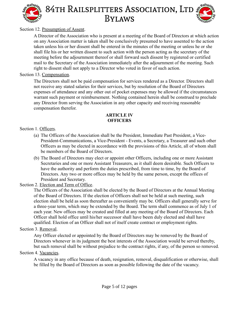

#### Section 12. Presumption of Assent.

A Director of the Association who is present at a meeting of the Board of Directors at which action on any Association matter is taken shall be conclusively presumed to have assented to the action taken unless his or her dissent shall be entered in the minutes of the meeting or unless he or she shall file his or her written dissent to such action with the person acting as the secretary of the meeting before the adjournment thereof or shall forward such dissent by registered or certified mail to the Secretary of the Association immediately after the adjournment of the meeting. Such right to dissent shall not apply to a Director who voted in favor of such action.

#### Section 13. Compensation.

The Directors shall not be paid compensation for services rendered as a Director. Directors shall not receive any stated salaries for their services, but by resolution of the Board of Directors expenses of attendance and any other out of pocket expenses may be allowed if the circumstances warrant such payment or reimbursement. Nothing contained herein shall be construed to preclude any Director from serving the Association in any other capacity and receiving reasonable compensation therefor.

#### <span id="page-6-0"></span>**ARTICLE IV OFFICERS**

#### Section 1. Officers.

- (a) The Officers of the Association shall be the President, Immediate Past President, a Vice-President-Communications, a Vice-President - Events, a Secretary, a Treasurer and such other Officers as may be elected in accordance with the provisions of this Article, all of whom shall be members of the Board of Directors.
- (b) The Board of Directors may elect or appoint other Officers, including one or more Assistant Secretaries and one or more Assistant Treasurers, as it shall deem desirable. Such Officers to have the authority and perform the duties prescribed, from time to time, by the Board of Directors. Any two or more offices may be held by the same person, except the offices of President and Secretary.

#### Section 2. Election and Term of Office.

The Officers of the Association shall be elected by the Board of Directors at the Annual Meeting of the Board of Directors. If the election of Officers shall not be held at such meeting, such election shall be held as soon thereafter as conveniently may be. Officers shall generally serve for a three-year term, which may be extended by the Board. The term shall commence as of July 1 of each year. New offices may be created and filled at any meeting of the Board of Directors. Each Officer shall hold office until his/her successor shall have been duly elected and shall have qualified. Election of an Officer shall not of itself create contract or employment rights.

#### Section 3. Removal.

Any Officer elected or appointed by the Board of Directors may be removed by the Board of Directors whenever in its judgment the best interests of the Association would be served thereby, but such removal shall be without prejudice to the contract rights, if any, of the person so removed.

#### Section 4. Vacancies.

A vacancy in any office because of death, resignation, removal, disqualification or otherwise, shall be filled by the Board of Directors as soon as possible following the date of the vacancy.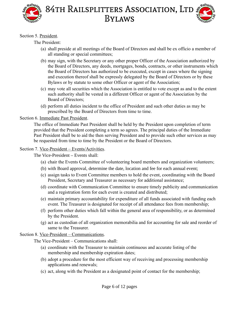



#### Section 5. President.

The President:

- (a) shall preside at all meetings of the Board of Directors and shall be ex officio a member of all standing or special committees;
- (b) may sign, with the Secretary or any other proper Officer of the Association authorized by the Board of Directors, any deeds, mortgages, bonds, contracts, or other instruments which the Board of Directors has authorized to be executed, except in cases where the signing and execution thereof shall be expressly delegated by the Board of Directors or by these Bylaws or by statute to some other Officer or agent of the Association;
- (c) may vote all securities which the Association is entitled to vote except as and to the extent such authority shall be vested in a different Officer or agent of the Association by the Board of Directors;
- (d) perform all duties incident to the office of President and such other duties as may be prescribed by the Board of Directors from time to time.

#### Section 6. Immediate Past President.

The office of Immediate Past President shall be held by the President upon completion of term provided that the President completing a term so agrees. The principal duties of the Immediate Past President shall be to aid the then serving President and to provide such other services as may be requested from time to time by the President or the Board of Directors.

#### Section 7. Vice-President – Events/Activities.

The Vice-President – Events shall:

- (a) chair the Events Committee of volunteering board members and organization volunteers;
- (b) with Board approval, determine the date, location and fee for each annual event;
- (c) assign tasks to Event Committee members to hold the event, coordinating with the Board President, Secretary and Treasurer as necessary for additional assistance;
- (d) coordinate with Communication Committee to ensure timely publicity and communication and a registration form for each event is created and distributed;
- (e) maintain primary accountability for expenditure of all funds associated with funding each event. The Treasurer is designated for receipt of all attendance fees from membership;
- (f) perform other duties which fall within the general area of responsibility, or as determined by the President.
- (g) act as custodian of all organization memorabilia and for accounting for sale and reorder of same to the Treasurer.

Section 8. Vice-President – Communications.

The Vice-President – Communications shall:

- (a) coordinate with the Treasurer to maintain continuous and accurate listing of the membership and membership expiration dates;
- (b) adopt a procedure for the most efficient way of receiving and processing membership applications and renewals;
- (c) act, along with the President as a designated point of contact for the membership;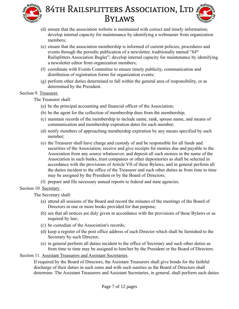

- (d) ensure that the association website is maintained with correct and timely information; develop internal capacity for maintenance by identifying a webmaster from organization members;
- (e) ensure that the association membership is informed of current policies, procedures and events through the periodic publication of a newsletter, traditionally named " $84<sup>th</sup>$ Railsplitters Association Bugler"; develop internal capacity for maintenance by identifying a newsletter editor from organization members;
- (f) coordinate with Events Committee to ensure timely publicity, communication and distribution of registration forms for organization events;
- (g) perform other duties determined to fall within the general area of responsibility, or as determined by the President.

#### Section 9. Treasurer.

The Treasurer shall:

- (a) be the principal accounting and financial officer of the Association;
- (b) be the agent for the collection of membership dues from the membership;
- (c) maintain records of the membership to include name, rank, spouse name, and means of communication and membership expiration dates for each member;
- (d) notify members of approaching membership expiration by any means specified by such member;
- (e) the Treasurer shall have charge and custody of and be responsible for all funds and securities of the Association; receive and give receipts for monies due and payable to the Association from any source whatsoever, and deposit all such monies in the name of the Association in such banks, trust companies or other depositories as shall be selected in accordance with the provisions of Article VII of these Bylaws; and in general perform all the duties incident to the office of the Treasurer and such other duties as from time to time may be assigned by the President or by the Board of Directors;
- (f) prepare and file necessary annual reports to federal and state agencies.

#### Section 10. Secretary.

The Secretary shall:

- (a) attend all sessions of the Board and record the minutes of the meetings of the Board of Directors in one or more books provided for that purpose;
- (b) see that all notices are duly given in accordance with the provisions of these Bylaws or as required by law;
- (c) be custodian of the Association's records;
- (d) keep a register of the post office address of each Director which shall be furnished to the Secretary by such Director;
- (e) in general perform all duties incident to the office of Secretary and such other duties as from time to time may be assigned to him/her by the President or the Board of Directors.

Section 11. Assistant Treasurers and Assistant Secretaries.

If required by the Board of Directors, the Assistant Treasurers shall give bonds for the faithful discharge of their duties in such sums and with such sureties as the Board of Directors shall determine. The Assistant Treasurers and Assistant Secretaries, in general, shall perform such duties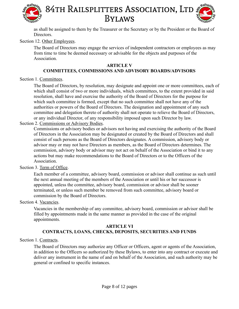

as shall be assigned to them by the Treasurer or the Secretary or by the President or the Board of Directors.

#### Section 12. Other Employees.

The Board of Directors may engage the services of independent contractors or employees as may from time to time be deemed necessary or advisable for the objects and purposes of the Association.

#### <span id="page-9-0"></span>**ARTICLE V**

#### **COMMITTEES, COMMISSIONS AND ADVISORY BOARDS/ADVISORS**

Section 1. Committees.

The Board of Directors, by resolution, may designate and appoint one or more committees, each of which shall consist of two or more individuals, which committees, to the extent provided in said resolution, shall have and exercise the authority of the Board of Directors for the purpose for which such committee is formed, except that no such committee shall not have any of the authorities or powers of the Board of Directors. The designation and appointment of any such committee and delegation thereto of authority shall not operate to relieve the Board of Directors, or any individual Director, of any responsibility imposed upon such Director by law.

#### Section 2. Commissions or Advisory Bodies.

Commissions or advisory bodies or advisors not having and exercising the authority of the Board of Directors in the Association may be designated or created by the Board of Directors and shall consist of such persons as the Board of Directors designates. A commission, advisory body or advisor may or may not have Directors as members, as the Board of Directors determines. The commission, advisory body or advisor may not act on behalf of the Association or bind it to any actions but may make recommendations to the Board of Directors or to the Officers of the Association.

#### Section 3. Term of Office.

Each member of a committee, advisory board, commission or advisor shall continue as such until the next annual meeting of the members of the Association or until his or her successor is appointed, unless the committee, advisory board, commission or advisor shall be sooner terminated, or unless such member be removed from such committee, advisory board or commission by the Board of Directors.

#### Section 4. Vacancies.

Vacancies in the membership of any committee, advisory board, commission or advisor shall be filled by appointments made in the same manner as provided in the case of the original appointments.

#### <span id="page-9-1"></span>**ARTICLE VI CONTRACTS, LOANS, CHECKS, DEPOSITS, SECURITIES AND FUNDS**

#### Section 1. Contracts.

The Board of Directors may authorize any Officer or Officers, agent or agents of the Association, in addition to the Officers so authorized by these Bylaws, to enter into any contract or execute and deliver any instrument in the name of and on behalf of the Association, and such authority may be general or confined to specific instances.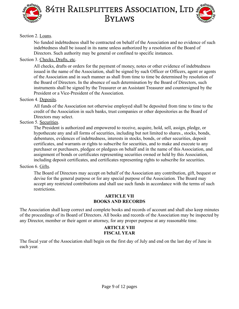



#### Section 2. Loans.

No funded indebtedness shall be contracted on behalf of the Association and no evidence of such indebtedness shall be issued in its name unless authorized by a resolution of the Board of Directors. Such authority may be general or confined to specific instances.

#### Section 3. Checks, Drafts, etc.

All checks, drafts or orders for the payment of money, notes or other evidence of indebtedness issued in the name of the Association, shall be signed by such Officer or Officers, agent or agents of the Association and in such manner as shall from time to time be determined by resolution of the Board of Directors. In the absence of such determination by the Board of Directors, such instruments shall be signed by the Treasurer or an Assistant Treasurer and countersigned by the President or a Vice-President of the Association.

#### Section 4. Deposits.

All funds of the Association not otherwise employed shall be deposited from time to time to the credit of the Association in such banks, trust companies or other depositories as the Board of Directors may select.

#### Section 5. Securities.

The President is authorized and empowered to receive, acquire, hold, sell, assign, pledge, or hypothecate any and all forms of securities, including but not limited to shares., stocks, bonds, debentures, evidences of indebtedness, interests in stocks, bonds, or other securities, deposit certificates, and warrants or rights to subscribe for securities, and to make and execute to any purchaser or purchasers, pledgee or pledgees on behalf and in the name of this Association, and assignment of bonds or certificates representing securities owned or held by this Association, including deposit certificates, and certificates representing rights to subscribe for securities.

#### Section 6. Gifts.

The Board of Directors may accept on behalf of the Association any contribution, gift, bequest or devise for the general purpose or for any special purpose of the Association. The Board may accept any restricted contributions and shall use such funds in accordance with the terms of such restrictions.

#### <span id="page-10-0"></span>**ARTICLE VII BOOKS AND RECORDS**

The Association shall keep correct and complete books and records of account and shall also keep minutes of the proceedings of its Board of Directors. All books and records of the Association may be inspected by any Director, member or their agent or attorney, for any proper purpose at any reasonable time.

#### <span id="page-10-1"></span>**ARTICLE VIII FISCAL YEAR**

The fiscal year of the Association shall begin on the first day of July and end on the last day of June in each year.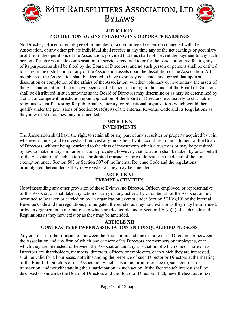

#### <span id="page-11-0"></span>**ARTICLE IX**

#### **PROHIBITION AGAINST SHARING IN CORPORATE EARNINGS**

No Director, Officer, or employee of or member of a committee of or person connected with the Association, or any other private individual shall receive at any time any of the net earnings or pecuniary profit from the operations of the Association, provided that this shall not prevent the payment to any such person of such reasonable compensation for services rendered to or for the Association in effecting any of its purposes as shall be fixed by the Board of Directors; and no such person or persons shall be entitled to share in the distribution of any of the Association assets upon the dissolution of the Association. All members of the Association shall be deemed to have expressly consented and agreed that upon such dissolution or completion of the affairs of the Association, whether voluntary or involuntary, the assets of the Association, after all debts have been satisfied, then remaining in the hands of the Board of Directors shall be distributed in such amounts as the Board of Directors may determine or as may be determined by a court of competent jurisdiction upon application of the Board of Directors, exclusively to charitable, religious, scientific, testing for public safety, literary, or educational organizations which would then qualify under the provisions of Section 501(c)(19) of the Internal Revenue Code and its Regulations as they now exist or as they may be amended.

#### <span id="page-11-1"></span>**ARTICLE X INVESTMENTS**

The Association shall have the right to retain all or any part of any securities or property acquired by it in whatever manner, and to invest and reinvest any funds held by it, according to the judgment of the Board of Directors, without being restricted to the class of investments which a trustee is or may be permitted by law to make or any similar restriction, provided, however, that no action shall be taken by or on behalf of the Association if such action is a prohibited transaction or would result in the denial of the tax exemption under Section 503 or Section 507 of the Internal Revenue Code and the regulations promulgated thereunder as they now exist or as they may be amended.

#### <span id="page-11-3"></span><span id="page-11-2"></span>**ARTICLE XI EXEMPT ACTIVITIES**

Notwithstanding any other provision of these Bylaws, no Director, Officer, employee, or representative of this Association shall take any action or carry on any activity by or on behalf of the Association not permitted to be taken or carried on by an organization exempt under Section 501(c)(19) of the Internal Revenue Code and the regulations promulgated thereunder as they now exist or as they may be amended, or by an organization contributions to which are deductible under Section 170(c)(2) of such Code and Regulations as they now exist or as they may be amended.

#### **ARTICLE XII CONTRACTS BETWEEN ASSOCIATION AND DISQUALIFIED PERSONS**

Any contract or other transaction between the Association and one or more of its Directors, or between the Association and any firm of which one or more of its Directors are members or employees, or in which they are interested, or between the Association and any association of which one or more of its Directors are shareholders, members, directors, officers or employees, or in which they are interested, shall be valid for all purposes, notwithstanding the presence of such Director or Directors at the meeting of the Board of Directors of the Association which acts upon, or in reference to, such contract or transaction, and notwithstanding their participation in such action, if the fact of such interest shall be disclosed or known to the Board of Directors and the Board of Directors shall, nevertheless, authorize,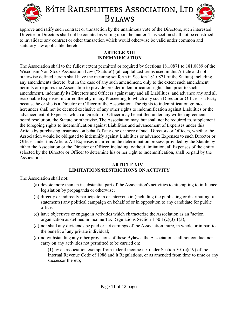



approve and ratify such contract or transaction by the unanimous vote of the Directors, such interested Director or Directors shall not be counted as voting upon the matter. This section shall not be construed to invalidate any contract or other transaction which would otherwise be valid under common and statutory law applicable thereto.

#### <span id="page-12-0"></span>**ARTICLE XIII INDEMNIFICATION**

The Association shall to the fullest extent permitted or required by Sections 181.0871 to 181.0889 of the Wisconsin Non-Stock Association Law ("Statute") (all capitalized terms used in this Article and not otherwise defined herein shall have the meaning set forth in Section 181.0871 of the Statute) including any amendments thereto (but in the case of any such amendment, only to the extent such amendment permits or requires the Association to provide broader indemnification rights than prior to such amendment), indemnify its Directors and Officers against any and all Liabilities, and advance any and all reasonable Expenses, incurred thereby in any Proceeding to which any such Director or Officer is a Party because he or she is a Director or Officer of the Association. The rights to indemnification granted hereunder shall not be deemed exclusive of any other rights to indemnification against Liabilities or the advancement of Expenses which a Director or Officer may be entitled under any written agreement, board resolution, the Statute or otherwise. The Association may, but shall not be required to, supplement the foregoing rights to indemnification against Liabilities and advancement of Expenses under this Article by purchasing insurance on behalf of any one or more of such Directors or Officers, whether the Association would be obligated to indemnify against Liabilities or advance Expenses to such Director or Officer under this Article. All Expenses incurred in the determination process provided by the Statute by either the Association or the Director or Officer, including, without limitation, all Expenses of the entity selected by the Director or Officer to determine his or her right to indemnification, shall be paid by the **Association** 

#### <span id="page-12-1"></span> **ARTICLE XIV**

#### **LIMITATIONS/RESTRICTIONS ON ACTIVITY**

The Association shall not:

- (a) devote more than an insubstantial part of the Association's activities to attempting to influence legislation by propaganda or otherwise;
- (b) directly or indirectly participate in or intervene in (including the publishing or distributing of statements) any political campaign on behalf of or in opposition to any candidate for public office;
- (c) have objectives or engage in activities which characterize the Association as an "action" organization as defined in income Tax Regulations Section 1.50 I (c)(3)-1(3);
- (d) nor shall any dividends be paid or net earnings of the Association inure, in whole or in part to the benefit of any private individual;
- (e) notwithstanding any other provisions of these Bylaws, the Association shall not conduct nor carry on any activities not permitted to be carried on:

(1) by an association exempt from federal income tax under Section  $501(c)(19)$  of the Internal Revenue Code of 1986 and it Regulations, or as amended from time to time or any successor thereto;